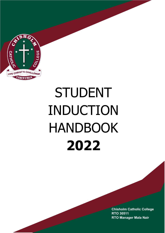

# STUDENT INDUCTION HANDBOOK **2022**

**Chisholm Catholic College RTO 30511 RTO Manager Mala Nair**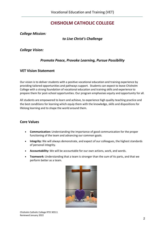## **CHISHOLM CATHOLIC COLLEGE**

*College Mission:*

## *to Live Christ's Challenge*

### *College Vision:*

## *Promote Peace, Provoke Learning, Pursue Possibility*

#### **VET Vision Statement**

Our vision is to deliver students with a positive vocational education and training experience by providing tailored opportunities and pathways support. Students can expect to leave Chisholm College with a strong foundation of vocational education and training skills and experience to prepare them for post-school opportunities. Our program emphasises equity and opportunity for all.

All students are empowered to learn and achieve, to experience high quality teaching practice and the best conditions for learning which equip them with the knowledge, skills and dispositions for lifelong learning and to shape the world around them.

## **Core Values**

- **Communication:** Understanding the importance of good communication for the proper functioning of the team and advancing our common goals.
- **Integrity:** We will always demonstrate, and expect of our colleagues, the highest standards of personal integrity.
- **Accountability:** We will be accountable for our own actions, work, and words.
- **Teamwork:** Understanding that a team is stronger than the sum of its parts, and that we perform better as a team.

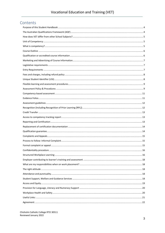## Contents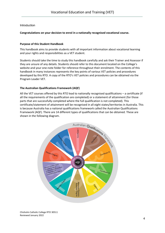#### Introduction

#### **Congratulations on your decision to enrol in a nationally recognised vocational course.**

#### <span id="page-3-0"></span>**Purpose of this Student Handbook**

This handbook aims to provide students with all important information about vocational learning and your rights and responsibilities as a VET student.

Students should take the time to study this handbook carefully and ask their Trainer and Assessor if they are unsure of any details. Students should refer to this document located on the College's website and your one-note folder for reference throughout their enrolment. The contents of this handbook in many instances represents the key points of various VET policies and procedures developed by this RTO. A copy of the RTO's VET policies and procedures can be obtained via the Program Leader VET.

#### <span id="page-3-1"></span>**The Australian Qualifications Framework (AQF)**

All the VET courses offered by this RTO lead to nationally recognised qualifications – a certificate (if all the requirements of the qualification are completed) or a statement of attainment (for those parts that are successfully completed where the full qualification is not completed). This certificate/statement of attainment will be recognised in all eight states/territories in Australia. This is because Australia has a national qualifications framework called the Australian Qualifications Framework (AQF). There are 14 different types of qualifications that can be obtained. These are shown in the following diagram.

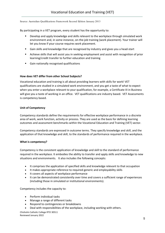Source: Australian Qualifications Framework Second Edition January 2013

By participating in a VET program, every student has the opportunity to:

- Develop and apply knowledge and skills relevant to the workplace through simulated work environment and, in some instance, on-the-job training (work placement). Your trainer will let you know if your course requires work placement.
- Gain skills and knowledge that are recognised by industry and gives you a head-start
- Achieve skills that will assist you in seeking employment and assist with recognition of prior learning/credit transfer to further education and training
- **Gain nationally recognised qualifications**

#### <span id="page-4-0"></span>**How does VET differ from other School Subjects?**

Vocational education and training is all about providing learners with skills for work! VET qualifications are studied in a simulated work environment, and you get a taste of what to expect when you enter a workplace relevant to your qualification, for example, a Certificate III in Business will give you a taste of working in an office. VET qualifications are industry based. VET Assessments is competency based.

#### <span id="page-4-1"></span>**Unit of Competency**

Competency standards define the requirements for effective workplace performance in a discrete area of work, work function, activity or process. They are used as the basis for defining learning outcomes and assessment benchmarks within the Vocational Education and Training (VET) sector.

Competency standards are expressed in outcome terms. They specify knowledge and skill, and the application of that knowledge and skill, to the standards of performance required in the workplace.

#### <span id="page-4-2"></span>**What is competency?**

Competency is the consistent application of knowledge and skill to the standard of performance required in the workplace. It embodies the ability to transfer and apply skills and knowledge to new situations and environments. It also includes the following concepts:

- It comprises the application of specified skills and knowledge relevant to that occupation
- It makes appropriate reference to required generic and employability skills
- It covers all aspects of workplace performance
- It can be demonstrated consistently over time and covers a sufficient range of experiences (including those in simulated or institutional environments).

Competency includes the capacity to:

- Perform individual tasks
- Manage a range of different tasks
- Respond to contingencies or breakdowns
- Deal with responsibilities of the workplace, including working with others.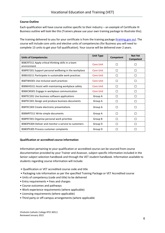#### <span id="page-5-0"></span>**Course Outline**

Each qualification will have course outline specific to their industry – an *example* of Certificate III Business outline will look like this (Trainers please use your own training package to illustrate this).

The training delivered to you for your certificate is from the training package [\(training.gov.au\)](https://training.gov.au/home/TGA). The course will include core units and elective units of competencies (for Business you will need to complete 13 units to get your full qualification). Your course will be delivered over 2 years.

| <b>Units of Competencies</b>                                      | <b>Unit Type</b> | <b>Competent</b> | <b>Not Yet</b><br><b>Competent</b> |
|-------------------------------------------------------------------|------------------|------------------|------------------------------------|
| BSBCRT311 Apply critical thinking skills in a team<br>environment | Core Unit        | П                |                                    |
| BSBPEF201 Support personal wellbeing in the workplace             | Core Unit        | П                |                                    |
| BSBSUS211 Participate in sustainable work practices               | Core Unit        | П                |                                    |
| BSBTWK301 Use inclusive work practices                            | Core Unit        | П                |                                    |
| BSBWHS311 Assist with maintaining workplace safety                | Core Unit        | П                |                                    |
| BSBXCM301 Engage in workplace communication                       | Core Unit        | П                |                                    |
| BSBTEC201 Use business software applications                      | Group A          | П                | $\mathsf{L}$                       |
| BSBTEC301 Design and produce business documents                   | Group A          | $\Box$           |                                    |
| <b>BSBTEC303 Create electronic presentations</b>                  | Group A          | П                |                                    |
| BSBWRT311 Write simple documents                                  | Group A          | П                |                                    |
| BSBPEF301 Organise personal work priorities                       | Group B          | П                | П                                  |
| BSBOPS304 Deliver and monitor a service to customers              | Group D          | П                |                                    |
| <b>BSBOPS305 Process customer complaints</b>                      | Group D          | П                |                                    |

#### <span id="page-5-1"></span>**Qualification or accredited course information**

Information pertaining to your qualification or accredited course can be sourced from course documentation provided by your Trainer and Assessor, subject specific information included in the Senior subject selection handbook and through the VET student handbook. Information available to students regarding course information will include:

- Qualification or VET accredited course code and title
- Packaging rule information as per the specified Training Package or VET Accredited course
- Units of competency (code and title) to be delivered
- Entry requirements Fees and charges
- Course outcomes and pathways
- Work experience requirements (where applicable)
- Licensing requirements (where applicable)
- Third party or off-campus arrangements (where applicable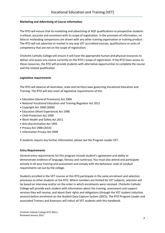#### <span id="page-6-0"></span>**Marketing and Advertising of Course Information**

The RTO will ensure that its marketing and advertising of AQF qualifications to prospective students is ethical, accurate and consistent with its scope of registration. In the provision of information, no false or misleading comparisons are drawn with any other training organisation or training product. The RTO will not advertise or market in any way VET accredited courses, qualifications or units of competency that are not on the scope of registration.

Chisholm Catholic College will ensure it will have the appropriate human and physical resources to deliver and assess any course currently on the RTO's scope of registration. If the RTO loses access to these resources, the RTO will provide students with alternative opportunities to complete the course and the related qualification

#### <span id="page-6-1"></span>**Legislative requirements**

The RTO will observe all Australian, state and territory laws governing Vocational Education and Training. The RTO will also meet all legislative requirements of the:

- Education (General Provisions) Act 2006
- National Vocational Education and Training Regulator Act 2011
- Copyright Act 1968 (2006)
- Education (Work Experience) Act 1996
- Child Protection Act 1999
- Work Health and Safety Act 2011
- Anti-discrimination Act 1991
- Privacy Act 1988 (2014)
- Information Privacy Act 2009

If students require any further information, please see the Program Leader VET.

#### <span id="page-6-2"></span>**Entry Requirements**

General entry requirements for this program include student's agreement and ability to demonstrate evidence of language, literacy and numeracy. You must also attend and participate actively in all your training and assessment and comply with the behaviour code of conduct requirements set out by the college.

Students enrolled in the VET courses at this RTO participate in the same enrolment and selection processes as other students at the RTO. Where numbers are limited for VET subjects, selection will be based on interview and/or on the order in which enrolments were received. Chisholm Catholic College will provide each student with information about the training, assessment and support services they will receive, and about their rights and obligations (through the VET student induction session) before enrolment on the Student Data Capture System (SDCS). The RTO Program Leader and associated Trainers and Assessors will induct all VET students with this handbook.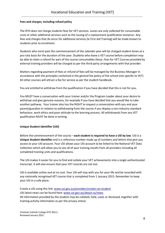#### <span id="page-7-0"></span>**Fees and charges, including refund policy**

The RTO does not charge students fees for VET services. Levies are only collected for consumable costs or other additional services such as the issuing of a replacement qualification testamur. Any fees and charges that do occur for additional services (ie First Aid Training) will be made known to students prior to enrolment.

Students who enrol past the commencement of the calendar year will be charged student levies at a pro-rata basis for the duration of the year. Students who leave a VET course before completion may be able to claim a refund for part of the course consumables (levy). Fees for VET Courses provided by external training providers will be charged as per the third-party arrangements with that provider.

Matters regarding payment of fees or refund of fees will be managed by the Business Manager in accordance with the principles contained in the general fee policy of the school (not specific to VET) All other courses will attract a fee for service as per the student handbook.

You are entitled to withdraw from the qualification if you have decided that this is not for you.

You MUST have a conversation with your trainer and/or the Program Leader about your desire to withdraw and give genuine reasons, for example if you have decided that you would like to take another pathway. Your trainer also has the RIGHT to request a conversation with you and your parent/guardian in relation to withdrawing from the course if you display a non-industry standard behaviour, work ethics and poor attitude to the learning process. All withdrawals from any VET qualification MUST be done in writing.

#### <span id="page-7-1"></span>**Unique Student Identifier (USI)**

Before the commencement of the course – **each student is required to have a USI by law**. USI is a **Unique Student Identifier** and is a reference number made up of numbers and letters that give you access to your USI account. Your USI allows your USI account to be linked to the National VET Data Collection which will allow you to see all of your training results from all providers including all completed training units and qualifications.

The USI makes it easier for you to find and collate your VET achievements into a single authenticated transcript. It will also ensure that your VET records are not lost.

USI is available online and at no cost. Your USI will stay with you for your life and be recorded with any nationally recognised VET course that is completed from 1 January 2015. Remember to keep your USI in a safe place.

Create a USI using this link: [www.usi.gov.au/providers/create-usi-student](http://www.usi.gov.au/providers/create-usi-student)  USI latest news can be found here[: www.usi.gov.au/about-us/news](http://www.usi.gov.au/about-us/news) All information provided by the student may be collated, held, used, or disclosed, together with training activity information as per the privacy notice: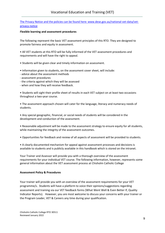#### The Privacy Notice and the policies can be found here: [www.dese.gov.au/national-vet-data/vet](http://www.dese.gov.au/national-vet-data/vet-privacy-notice)[privacy-notice](http://www.dese.gov.au/national-vet-data/vet-privacy-notice)

#### <span id="page-8-0"></span>**Flexible learning and assessment procedures**

The following represent the basic VET assessment principles of this RTO. They are designed to promote fairness and equity in assessment.

• All VET students at this RTO will be fully informed of the VET assessment procedures and requirements and will have the right to appeal.

- Students will be given clear and timely information on assessment.
- Information given to students, on the assessment cover sheet, will include:
- advice about the assessment methods
- assessment procedures
- the criteria against which they will be assessed
- when and how they will receive feedback.

• Students will sight their profile sheet of results in each VET subject on at least two occasions throughout a two-year course.

• The assessment approach chosen will cater for the language, literacy and numeracy needs of students.

• Any special geographic, financial, or social needs of students will be considered in the development and conduction of the assessment.

• Reasonable adjustment will be made to the assessment strategy to ensure equity for all students, while maintaining the integrity of the assessment outcomes.

• Opportunities for feedback and review of all aspects of assessment will be provided to students.

• A clearly documented mechanism for appeal against assessment processes and decisions is available to students and is publicly available in this handbook which is stored on the intranet.

Your Trainer and Assessor will provide you with a thorough overview of the assessment requirements for your individual VET course. The following information, however, represents some general information about the VET assessment process at Chisholm Catholic College

#### <span id="page-8-1"></span>**Assessment Policy & Procedures**

Your trainer will provide you with an overview of the assessment requirements for your VET programme/s. Students will have a platform to voice their opinions/suggestions regarding assessment and training via our VET feedback forms (What Went Well & Even Better If, Quality Indicator Reports). However, you are most welcome to discuss your concerns with your trainer or the Program Leader, VET & Careers any time during your qualification.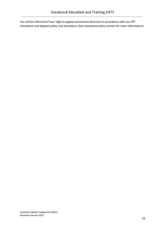You will be informed of your right to appeal assessment decisions in accordance with our VET Complaints and Appeals policy and procedure. (See complaints policy section for more information).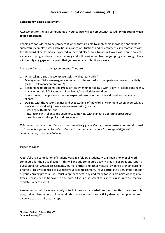#### <span id="page-10-0"></span>**Competency-based assessment**

Assessment for the VET components of your course will be competency-based. **What does it mean to be competent?**

People are considered to be competent when they are able to apply their knowledge and skills to successfully complete work activities in a range of situations and environments, in accordance with the standard of performance expected in the workplace. Your trainer will work with you to collect evidence of progress towards competency and will provide feedback as you progress through. They will identify any gaps and request that you re-do or re-submit your work.

There are four parts to being competent. They are:

- a. Undertaking a specific workplace task(s) (called 'task skills')
- b. Management Skills managing a number of different tasks to complete a whole work activity (called 'task management skills')
- c. Responding to problems and irregularities when undertaking a work activity (called 'contingency management skills'). Examples of problems/irregularities could be: breakdowns, changes in routines, unexpected results, or outcomes, difficult or dissatisfied clients
- d. Dealing with the responsibilities and expectations of the work environment when undertaking a work activity (called 'job/role environment skills'), such as:
	- working with others, and
	- interacting with clients and suppliers, complying with standard operating procedures, observing enterprise policy and procedures.

*This means that when you demonstrate competency you will not just demonstrate you can do a task on its own, but you must be able to demonstrate that you can do it in a range of different circumstances, as outlined above.*

#### <span id="page-10-1"></span>**Evidence Folios**

A portfolio is a compilation of student work in a folder. Students MUST keep a Folio of all work completed for their qualification – this will include completed activity sheets, observations reports, questionnaires, written assessments, journal entries, and other material evidence of their learning progress. This will be used to evaluate your accomplishment. Your portfolio is a very important part of your learning process… you must keep them neat, tidy and ready for your trainer's viewing at all times. These need to be saved in one-note. All your assessment task sheets, resources are readily available in here as well.

Assessments could include a variety of techniques such as verbal questions, written questions, role play, trainer observation, folio of work, short answer questions, activity sheet and supplementary evidence such as third-party reports.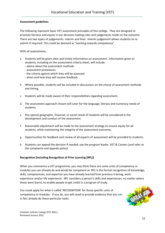#### <span id="page-11-0"></span>**Assessment guidelines**

The following represent basic VET assessment principles of this college. They are designed to promote fairness and equity in our decision-making rules and judgements made on the outcome. There are two types of judgements: interim and final. Interim judgement allows students to resubmit if required. This could be deemed as "working towards competency".

With all assessments,

- a. Students will be given clear and timely information on assessment. Information given to students, including on the assessment criteria sheet, will include:
	- advice about the assessment methods
	- assessment procedures
	- the criteria against which they will be assessed
	- when and how they will receive feedback
- b. Where possible, students will be included in discussions on the choice of assessment methods and timing.
- c. Students will be made aware of their responsibilities regarding assessment.
- d. The assessment approach chosen will cater for the language, literacy and numeracy needs of students.
- e. Any special geographic, financial, or social needs of students will be considered in the development and conduct of the assessment.
- f. Reasonable adjustment will be made to the assessment strategy to ensure equity for all students, while maintaining the integrity of the assessment outcomes.
- g. Opportunities for feedback and review of all aspects of assessment will be provided to students.
- h. Students can appeal the decision if needed, see the program leader, VET & Careers (and refer to the complaints and appeals policy)

#### <span id="page-11-1"></span>**Recognition (Including Recognition of Prior Learning [RPL])**

When you commence a VET programme, you may think there are some units of competency or modules you can already do and would be competent at. RPL is the formal recognition of knowledge, skills, competencies, and expertise you have already learned from previous training, work experience and/or life experience. RPL considers a person's skills and experiences, no matter where these were learnt, to enable people to get credit in a program of study.

You could apply for what is called 'RECOGNITION' for those specific units of competency or modules. If you do, you will need to provide evidence that you can in fact already do these particular tasks.

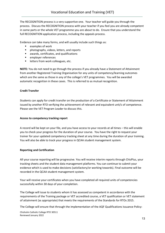The RECOGNITION process is a very supportive one. Your teacher will guide you through the process. Discuss the RECOGNITION process with your teacher if you feel you are already competent in some parts or the whole VET programme you are about to do. Ensure that you understand the full RECOGNITION application process, including the appeals process.

Evidence can take many forms, and will usually include such things as:

- $\blacksquare$  examples of work
- **Photographs, videos, letters, and reports**
- awards, certificates, and qualifications
- **EXECUTE:** employer references
- **IF** letters from work colleagues, etc.

**NOTE:** You do not need to go through the process if you already have a Statement of Attainment from another Registered Training Organisation for any units of competency/learning outcomes which are the same as those in any of the college's VET programmes. You will be awarded automatic recognition in these cases. This is referred to as mutual recognition.

#### <span id="page-12-0"></span>**Credit Transfer**

Students can apply for credit transfer on the production of a Certificate or Statement of Attainment issued by another RTO verifying the achievement of relevant and equivalent unit/s of competence. Please see the VET Program Leader to discuss this.

#### <span id="page-12-1"></span>**Access to competency tracking report**

A record will be kept on your file, and you have access to your records at all times – this will enable you to check your progress for the duration of your course. You have the right to request your trainer for your updated competency tracking sheet at any time during the duration of your training. You will also be able to track your progress in QCAA student management system.

#### <span id="page-12-2"></span>**Reporting and Certification**

All your course reporting will be progressive. You will receive interim reports through ChisPlus, your tracking sheets and the student data management platforms. You can continue to submit your evidence which is used to make decisions (satisfactory/or working towards). Final outcome will be recorded in the QCAA student management system.

Your will receive your certificates when you have completed all required units of competencies successfully within 30 days of your completion.

The College will issue to students whom it has assessed as competent in accordance with the requirements of the Training package or VET accredited course, a VET qualification or VET statement of attainment (as appropriate) that meets the requirements of the Standards for RTOs 2015.

The College will ensure that through the implementation of the AQF Qualifications Issuance Policy: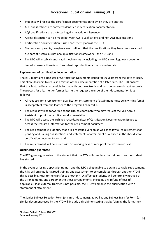- Students will receive the certification documentation to which they are entitled
- AQF qualifications are correctly identified in certification documentation
- AQF qualifications are protected against fraudulent issuance
- A clear distinction can be made between AQF qualifications and non-AQF qualifications
- Certification documentation is used consistently across the RTO
- Students and parents/caregivers are confident that the qualifications they have been awarded are part of Australia's national qualifications framework – the AQF, and
- The RTO will establish anti-fraud mechanisms by including the RTO's own logo each document issued to ensure there is no fraudulent reproduction or use of credentials.

#### <span id="page-13-0"></span>**Replacement of certification documentation**

The RTO maintains a Register of Certification Documents Issued for 30 years from the date of issue. This allows learners to request a reissue of their documentation at a later date. The RTO ensures that this is stored in an accessible format with both electronic and hard copy records kept securely. The process for a learner, or former learner, to request a reissue of their documentation is as follows:

- All requests for a replacement qualification or statement of attainment must be in writing (email is acceptable) from the learner to the Program Leader VET.
- The request will be forwarded to the RTO to coordinate who may request the VET Admin Assistant to print the certification documentation.
- The RTO will access the archived records/Register of Certification Documentation Issued to access the required information for the replacement document
- The replacement will identify that it is a re-issued version as well as follow all requirements for printing and issuing qualifications and statements of attainment as outlined in the checklist for certification documentation; and
- The replacement will be issued with 30 working days of receipt of the written request.

#### <span id="page-13-1"></span>**Qualification guarantee**

The RTO gives a guarantee to the student that the RTO will complete the training once the student has started.

In the event of losing a specialist trainer, and the RTO being unable to obtain a suitable replacement, the RTO will arrange for agreed training and assessment to be completed through another RTO if this is possible. Prior to the transfer to another RTO, affected students will be formally notified of the arrangements, and agreement to those arrangements, including any refund of fees (if applicable). If an external transfer is not possible, the RTO will finalise the qualification with a statement of attainment.

The Senior Subject Selection Form (or similar document), as well as any Subject Transfer Form (or similar document) used by the RTO will include a disclaimer stating that by 'signing the form, they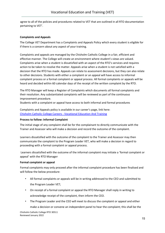agree to all of the policies and procedures related to VET that are outlined in all RTO documentation pertaining to VET'.

#### <span id="page-14-0"></span>**Complaints and Appeals**

The College VET Department has a Complaints and Appeals Policy which every student is eligible for if there is a concern about any aspect of your training.

Complaints and appeals are managed by the Chisholm Catholic College in a fair, efficient and effective manner. The College will create an environment where student's views are valued. Complaints arise when a student is dissatisfied with an aspect of the RTO's services and requires action to be taken to resolve the matter. Appeals arise when a student is not satisfied with a decision that the RTO has made. Appeals can relate to assessment decisions, but they can also relate to other decisions. Students with either a complaint or an appeal will have access to informal complaint process or a formal complaint or appeal process. All formal complaints or appeals will be heard and decided within 60 calendar days of the receipt of the written complaint by the RTO.

The RTO Manager will keep a Register of Complaints which documents all formal complaints and their resolution. Any substantiated complaints will be reviewed as part of the continuous improvement procedure.

Students with a complaint or appeal have access to both informal and formal procedures

Complaints and Appeals policy is available in our career's page, link here: [Chisholm Catholic College Careers -](https://chisholmcatholiccollegecareers.com/vocational-education-and-training) Vocational Education And Training

#### <span id="page-14-1"></span>**Process to follow: Informal Complaint**

The initial stage of any complaint shall be for the complainant to directly communicate with the Trainer and Assessor who will make a decision and record the outcome of the complaint.

Learners dissatisfied with the outcome of the complaint to the Trainer and Assessor may then communicate the complaint to the Program Leader VET, who will make a decision in regard to proceeding with a formal complaint or appeal process.

Learners dissatisfied with the outcome of the informal complaint may initiate a 'formal complaint or appeal' with the RTO Manager

#### <span id="page-14-2"></span>**Formal complaint or appeal**

Formal complaints may only proceed after the informal complaint procedure has been finalised and will follow the below procedure:

- All formal complaints or appeals will be in writing addressed to the CEO and submitted to the Program Leader VET;
- On receipt of a formal complaint or appeal the RTO Manager shall reply in writing to acknowledge receipt of the complaint, then inform the CEO.
- The Program Leader and the CEO will meet to discuss the complaint or appeal and either make a decision or convene an independent panel to hear the complaint; this shall be the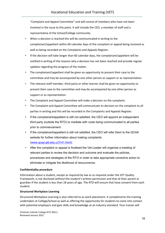"Complaint and Appeal Committee" and will consist of members who have not been involved in the issue to this point. It will include the CEO, a member of staff and a representative of the School/College community.

- When a decision is reached this will be communicated in writing to the complainant/appellant within 60 calendar days of the complaint or appeal being received as well as being recorded on the Complaints and Appeals Register.
- If the decision will take longer than 60 calendar days, the complainant/appellant will be notified in writing of the reasons why a decision has not been reached and provide regular updates regarding the progress of the matter.
- The complainant/appellant shall be given an opportunity to present their case to the committee and may be accompanied by one other person as support or as representation.
- The relevant staff member, third party or other learner shall be given an opportunity to present their case to the committee and may be accompanied by one other person as support or as representation.
- The Complaint and Appeal Committee will make a decision on the complaint.
- The Complaint and Appeal Committee will communicate its decision on the complaint to all parties in writing and this will be recorded in the Complaints and Appeals Register.
- If the complainant/appellant is still not satisfied, the CEO will appoint an independent third party (outside the RTO) to mediate with costs being communicated to all parties prior to commencement.
- If the complainant/appellant is still not satisfied, the CEO will refer them to the QCAA website for further information about making complaints (www.qcaa.qld.edu.u/3141.html);
- After the complaint or appeal is finalised the Vet Leader will organise a meeting of relevant parties to review the decision and outcome and evaluate the policies, procedures and strategies of the RTO in order to take appropriate corrective action to eliminate or mitigate the likelihood of reoccurrence.

#### <span id="page-15-0"></span>**Confidentiality procedure**

Information about a student, except as required by law or as required under the VET Quality Framework, is not disclosed without the student's written permission and that of their parent or guardian if the student is less than 18 years of age. The RTO will ensure that have consent from each student.

#### <span id="page-15-1"></span>**Structured Workplace Learning**

Structured Workplace Learning is also referred to as work placement. It complements the training undertaken at College/School as well as offering the opportunity for students to come into contact with potential employers and gain skills and knowledge at an industry standard. Your trainer will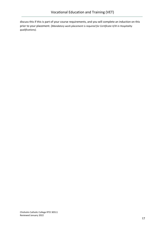discuss this if this is part of your course requirements, and you will complete an induction on this prior to your placement. (*Mandatory work placement is required for Certificate II/III in Hospitality qualifications).*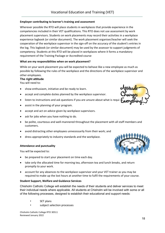## <span id="page-17-0"></span>**Employer contributing to learner's training and assessment**

Wherever possible the RTO will place students in workplaces that provide experience in the competencies included in their VET qualifications. This RTO does not use assessment by work placement supervisors. Students on work placements may record their activities in a workplace experience logbook (or similar document). The work placement organiser/teacher will seek the cooperation of the workplace supervisor in the sign-off on the accuracy of the student's entries in the log. This logbook (or similar document) may be used by the assessor to support judgments of competency. Students at this RTO will be placed in workplaces where it forms a mandatory requirement of the Training Package or Accredited course

## <span id="page-17-1"></span>**What are my responsibilities when on work placement?**

While on your work placement you will be expected to behave like a new employee as much as possible by following the rules of the workplace and the directions of the workplace supervisor and other employees.

## <span id="page-17-2"></span>**The right attitude**

You will need to:

- show enthusiasm, initiative and be ready to learn.
- accept and complete duties planned by the workplace supervisor.
- listen to instructions and ask questions if you are unsure about what is requi[red.](http://www.google.com.au/url?sa=i&rct=j&q=&esrc=s&source=images&cd=&cad=rja&uact=8&ved=0CAcQjRxqFQoTCICAk7XL8MgCFQUppgodkBAJPA&url=http%3A%2F%2Fmelissagalt.com%2Fis-one-bad-attitude-to-blame-for-burning-your-bottom-line%2F&bvm=bv.106379543,d.cGc&psig=AFQjCNGWU4LsA1C-CA4jucHDBRuFV8BG7A&ust=1446514119551750)
- assist in the planning of your program.
- accept and act on advice given by workplace supervisors.
- ask for jobs when you have nothing to do.
- be polite, courteous and well-mannered throughout the placement with all staff members and customers.
- avoid distracting other employees unnecessarily from their work; and
- dress appropriately to industry standards and the workplace.

## <span id="page-17-3"></span>**Attendance and punctuality**

You will be expected to:

- be prepared to start your placement on time each day.
- take only the allocated time for morning tea, afternoon tea and lunch breaks, and return promptly to your work.
- account for any absences to the workplace supervisor and your VET trainer as you may be required to make up the lost hours at another time to fulfil the requirements of your course.

## <span id="page-17-4"></span>**Student Support, Welfare and Guidance Services**

Chisholm Catholic College will establish the needs of their students and deliver services to meet their individual needs where applicable. All students at Chisholm will be involved with some or all of the following processes, designed to establish their educational and support needs:

- SET plans
- subject selection processes



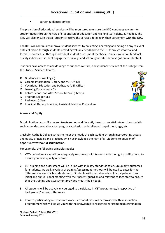• career guidance services

The provision of educational services will be monitored to ensure the RTO continues to cater for student needs through review of student senior education and training (SET) plans, as needed. The RTO will also ensure that all students receive the services detailed in their agreement with the RTO.

The RTO will continually improve student services by collecting, analysing and acting on any relevant data collection through students providing valuable feedback to the RTO through informal and formal processes i.e. through individual student assessment feedback, course evaluation feedback, quality indicators - student engagement surveys and school-generated surveys (where applicable).

Students have access to a wide range of support, welfare, and guidance services at the College from the Student Services Centre:

- $\bullet$  Guidance Counselling (J)
- **◯** Careers Information (Library and VET Office)
- Vocational Education and Pathways (VET Office)
- Learning Enrichment (J2)
- Before School and After School tutorial (library)
- **Program Leader VET**
- **●** Pathways Officer
- Principal, Deputy Principal, Assistant Principal Curriculum

#### <span id="page-18-0"></span>**Access and Equity**



Discrimination occurs if a person treats someone differently based on an attribute or characteristic such as gender, sexuality, race, pregnancy, physical or intellectual impairment, age, etc.

Chisholm Catholic College strives to meet the needs of each student through incorporating access and equity principles and practices which acknowledge the right of all students to equality of opportunity **without discrimination**.

For example, the following principles apply:

- 1. VET curriculum areas will be adequately resourced, with trainers with the right qualifications, to ensure you have quality outcomes.
- 2. VET training and assessment will be in line with industry standards to ensure quality outcomes for students. As well, a variety of training/assessment methods will be used to cater for the different ways in which students learn. Students with special needs will participate with an initial and annual panel meeting with their parent/guardian and relevant college staff to ensure that the training and assessment provided meets their needs.
- 3. All students will be actively encouraged to participate in VET programmes, irrespective of background/cultural differences.
- 4. Prior to participating in structured work placement, you will be provided with an induction programme which will equip you with the knowledge to recognise harassment/discrimination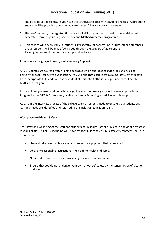should it occur and to ensure you have the strategies to deal with anything like this. Appropriate support will be provided to ensure you are successful in your work placement.

- 5. Literacy/numeracy is integrated throughout all VET programmes, as well as being delivered separately through your English/Literacy and Maths/Numeracy programme.
- 6. This college will openly value all students, irrespective of background/culture/other differences and all students will be made feel valued through the delivery of appropriate training/assessment methods and support structures.

#### <span id="page-19-0"></span>**Provision for Language, Literacy and Numeracy Support**

All VET courses are sourced from training packages which outlines the guidelines and rules of delivery for each respective qualification. You will find that basic literacy/numeracy elements have been incorporated. In addition, every student at Chisholm Catholic College undertakes English, Maths and Religion.

If you still feel you need additional language, literacy or numeracy support, please approach the Program Leader VET & Careers and/or Head of Senior Schooling for advice for this support.

As part of the interview process of the college every attempt is made to ensure that students with learning needs are identified and referred to the Inclusion Education Team.

#### <span id="page-19-1"></span>**Workplace Health and Safety**

The safety and wellbeing of the staff and students at Chisholm Catholic College is one of our greatest responsibilities. All of us, including you, have responsibilities to ensure a safe environment. You are required to:

- Use and take reasonable care of any protective equipment that is provided
- **Divided Theory any reasonable instructions in relation to health and safety**
- Not interfere with or remove any safety devices from machinery
- Ensure that you do not endanger your own or others' safety by the consumption of alcohol or drugs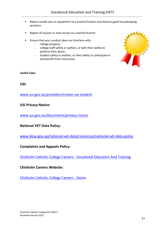- Report unsafe acts or equipment to a teacher/trainer and observe good housekeeping practices
- Report all injuries or near misses to a teacher/trainer
- **Ensure that your conduct does not interfere with:** 
	- college property
	- college staff safety or welfare, or with their ability to perform their duties
	- student safety or welfare, or their ability to participate in and benefit from instruction.



<span id="page-20-0"></span>**Useful Links:** 

**USI:** 

[www.usi.gov.au/providers/create-usi-student](http://www.usi.gov.au/providers/create-usi-student) 

**USI Privacy Notice:** 

[www.usi.gov.au/documents/privacy-notice](http://www.usi.gov.au/documents/privacy-notice)

**National VET Data Policy:** 

[www.dese.gov.au/national-vet-data/resources/national-vet-data-policy](http://www.dese.gov.au/national-vet-data/resources/national-vet-data-policy)

**Complaints and Appeals Policy:** 

[Chisholm Catholic College Careers -](https://chisholmcatholiccollegecareers.com/vocational-education-and-training) Vocational Education And Training

**Chisholm Careers Website:**

[Chisholm Catholic College Careers -](https://chisholmcatholiccollegecareers.com/) Home